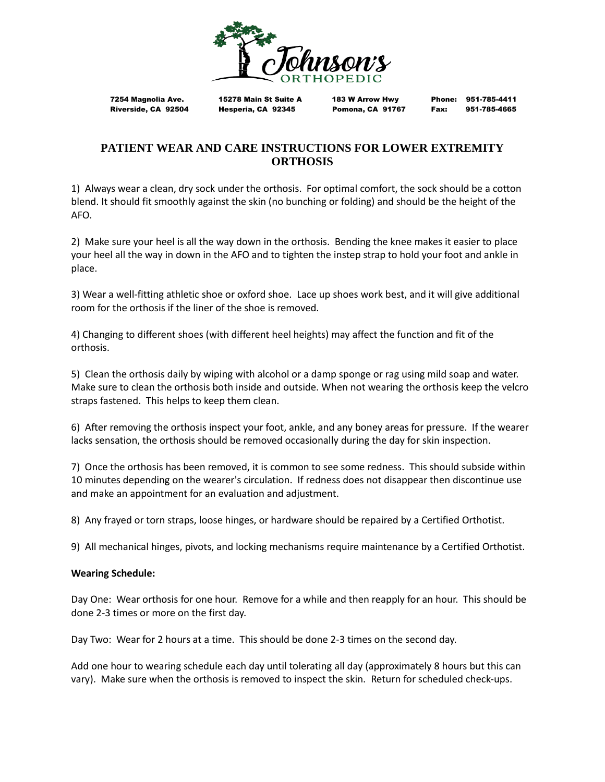

7254 Magnolia Ave. 15278 Main St Suite A 183 W Arrow Hwy Phone: 951-785-4411

Riverside, CA 92504 Hesperia, CA 92345 Pomona, CA 91767 Fax: 951-785-4665

# **PATIENT WEAR AND CARE INSTRUCTIONS FOR LOWER EXTREMITY ORTHOSIS**

1) Always wear a clean, dry sock under the orthosis. For optimal comfort, the sock should be a cotton blend. It should fit smoothly against the skin (no bunching or folding) and should be the height of the AFO.

2) Make sure your heel is all the way down in the orthosis. Bending the knee makes it easier to place your heel all the way in down in the AFO and to tighten the instep strap to hold your foot and ankle in place.

3) Wear a well-fitting athletic shoe or oxford shoe. Lace up shoes work best, and it will give additional room for the orthosis if the liner of the shoe is removed.

4) Changing to different shoes (with different heel heights) may affect the function and fit of the orthosis.

5) Clean the orthosis daily by wiping with alcohol or a damp sponge or rag using mild soap and water. Make sure to clean the orthosis both inside and outside. When not wearing the orthosis keep the velcro straps fastened. This helps to keep them clean.

6) After removing the orthosis inspect your foot, ankle, and any boney areas for pressure. If the wearer lacks sensation, the orthosis should be removed occasionally during the day for skin inspection.

7) Once the orthosis has been removed, it is common to see some redness. This should subside within 10 minutes depending on the wearer's circulation. If redness does not disappear then discontinue use and make an appointment for an evaluation and adjustment.

8) Any frayed or torn straps, loose hinges, or hardware should be repaired by a Certified Orthotist.

9) All mechanical hinges, pivots, and locking mechanisms require maintenance by a Certified Orthotist.

### **Wearing Schedule:**

Day One: Wear orthosis for one hour. Remove for a while and then reapply for an hour. This should be done 2-3 times or more on the first day.

Day Two: Wear for 2 hours at a time. This should be done 2-3 times on the second day.

Add one hour to wearing schedule each day until tolerating all day (approximately 8 hours but this can vary). Make sure when the orthosis is removed to inspect the skin. Return for scheduled check-ups.